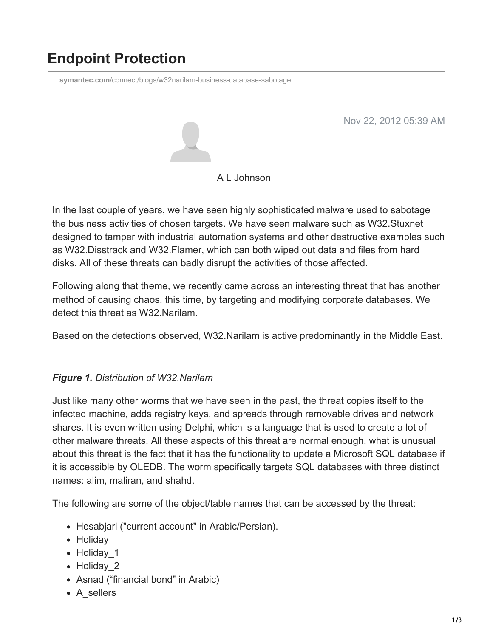# **Endpoint Protection**

**symantec.com**[/connect/blogs/w32narilam-business-database-sabotage](https://www.symantec.com/connect/blogs/w32narilam-business-database-sabotage)

Nov 22, 2012 05:39 AM



### [A L Johnson](https://community.broadcom.com/symantecenterprise/network/members/profile?UserKey=cbd453fd-3ce1-4c47-af77-d746256f9bc4)

In the last couple of years, we have seen highly sophisticated malware used to sabotage the business activities of chosen targets. We have seen malware such as [W32.Stuxnet](http://www.symantec.com/security_response/writeup.jsp?docid=2010-071400-3123-99) designed to tamper with industrial automation systems and other destructive examples such as [W32.Disstrack](http://www.symantec.com/security_response/writeup.jsp?docid=2012-081608-0202-99) and [W32.Flamer](http://www.symantec.com/security_response/writeup.jsp?docid=2012-052811-0308-99), which can both wiped out data and files from hard disks. All of these threats can badly disrupt the activities of those affected.

Following along that theme, we recently came across an interesting threat that has another method of causing chaos, this time, by targeting and modifying corporate databases. We detect this threat as [W32.Narilam](http://www.symantec.com/security_response/writeup.jsp?docid=2012-111516-3751-99).

Based on the detections observed, W32.Narilam is active predominantly in the Middle East.

## *Figure 1. Distribution of W32.Narilam*

Just like many other worms that we have seen in the past, the threat copies itself to the infected machine, adds registry keys, and spreads through removable drives and network shares. It is even written using Delphi, which is a language that is used to create a lot of other malware threats. All these aspects of this threat are normal enough, what is unusual about this threat is the fact that it has the functionality to update a Microsoft SQL database if it is accessible by OLEDB. The worm specifically targets SQL databases with three distinct names: alim, maliran, and shahd.

The following are some of the object/table names that can be accessed by the threat:

- Hesabjari ("current account" in Arabic/Persian).
- Holiday
- Holiday 1
- Holiday 2
- Asnad ("financial bond" in Arabic)
- A sellers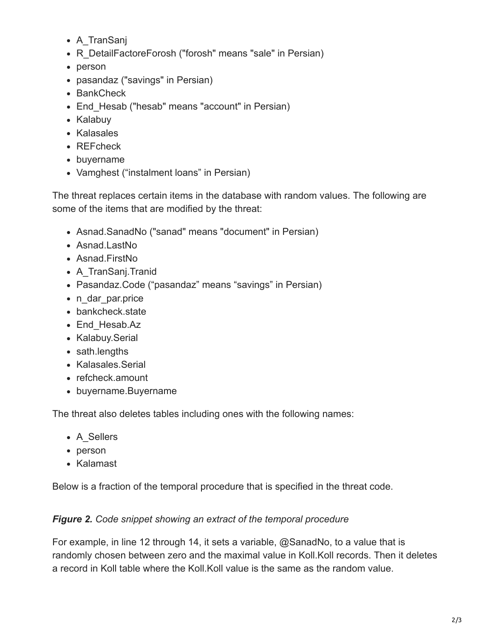- A TranSanj
- R DetailFactoreForosh ("forosh" means "sale" in Persian)
- person
- pasandaz ("savings" in Persian)
- BankCheck
- End Hesab ("hesab" means "account" in Persian)
- Kalabuy
- Kalasales
- REFcheck
- buyername
- Vamghest ("instalment loans" in Persian)

The threat replaces certain items in the database with random values. The following are some of the items that are modified by the threat:

- Asnad.SanadNo ("sanad" means "document" in Persian)
- Asnad.LastNo
- Asnad.FirstNo
- A TranSanj.Tranid
- Pasandaz.Code ("pasandaz" means "savings" in Persian)
- n dar par.price
- bankcheck.state
- End Hesab.Az
- Kalabuy.Serial
- sath.lengths
- Kalasales Serial
- refcheck.amount
- buyername.Buyername

The threat also deletes tables including ones with the following names:

- A Sellers
- person
- Kalamast

Below is a fraction of the temporal procedure that is specified in the threat code.

## *Figure 2. Code snippet showing an extract of the temporal procedure*

For example, in line 12 through 14, it sets a variable, @SanadNo, to a value that is randomly chosen between zero and the maximal value in Koll.Koll records. Then it deletes a record in Koll table where the Koll.Koll value is the same as the random value.